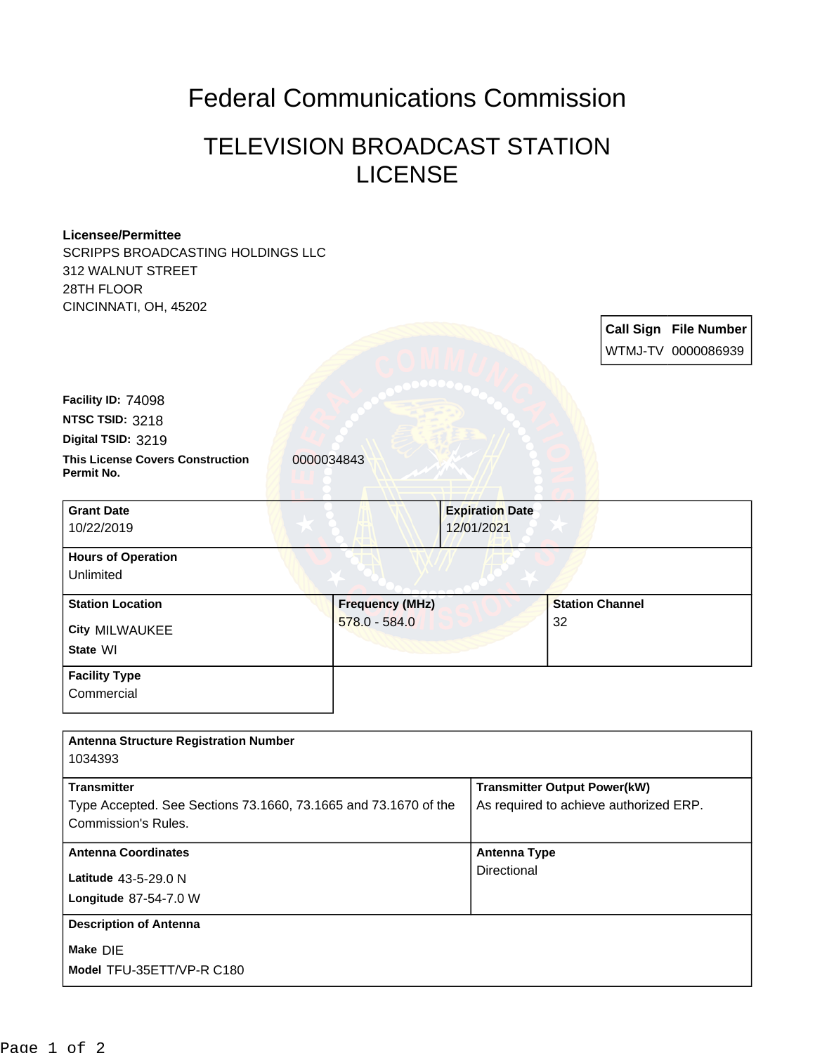## Federal Communications Commission

## TELEVISION BROADCAST STATION LICENSE

## **Licensee/Permittee**

SCRIPPS BROADCASTING HOLDINGS LLC 312 WALNUT STREET 28TH FLOOR CINCINNATI OH, 45202

| $O(11011)$ is $11, 011, 00202$                        |                        |                        |                        |                              |
|-------------------------------------------------------|------------------------|------------------------|------------------------|------------------------------|
|                                                       |                        |                        |                        | <b>Call Sign File Number</b> |
|                                                       |                        |                        |                        | WTMJ-TV 0000086939           |
|                                                       |                        |                        |                        |                              |
| Facility ID: 74098                                    |                        |                        |                        |                              |
| NTSC TSID: 3218                                       |                        |                        |                        |                              |
| Digital TSID: 3219                                    |                        |                        |                        |                              |
| <b>This License Covers Construction</b><br>Permit No. | 0000034843             |                        |                        |                              |
| <b>Grant Date</b>                                     |                        | <b>Expiration Date</b> |                        |                              |
| 10/22/2019                                            |                        | 12/01/2021             |                        |                              |
| <b>Hours of Operation</b>                             |                        |                        |                        |                              |
| Unlimited                                             |                        |                        |                        |                              |
| <b>Station Location</b>                               | <b>Frequency (MHz)</b> |                        | <b>Station Channel</b> |                              |
| <b>City MILWAUKEE</b>                                 | 578.0 - 584.0          |                        | 32                     |                              |
| State WI                                              |                        |                        |                        |                              |
| <b>Facility Type</b>                                  |                        |                        |                        |                              |
| Commercial                                            |                        |                        |                        |                              |
|                                                       |                        |                        |                        |                              |

| <b>Antenna Structure Registration Number</b><br>1034393         |                                        |  |  |  |
|-----------------------------------------------------------------|----------------------------------------|--|--|--|
| <b>Transmitter</b>                                              | <b>Transmitter Output Power(kW)</b>    |  |  |  |
| Type Accepted. See Sections 73.1660, 73.1665 and 73.1670 of the | As required to achieve authorized ERP. |  |  |  |
| Commission's Rules.                                             |                                        |  |  |  |
| <b>Antenna Coordinates</b>                                      | <b>Antenna Type</b>                    |  |  |  |
| Latitude 43-5-29.0 N                                            | Directional                            |  |  |  |
| <b>Longitude 87-54-7.0 W</b>                                    |                                        |  |  |  |
| <b>Description of Antenna</b>                                   |                                        |  |  |  |
| Make DIE                                                        |                                        |  |  |  |
| Model TFU-35ETT/VP-R C180                                       |                                        |  |  |  |